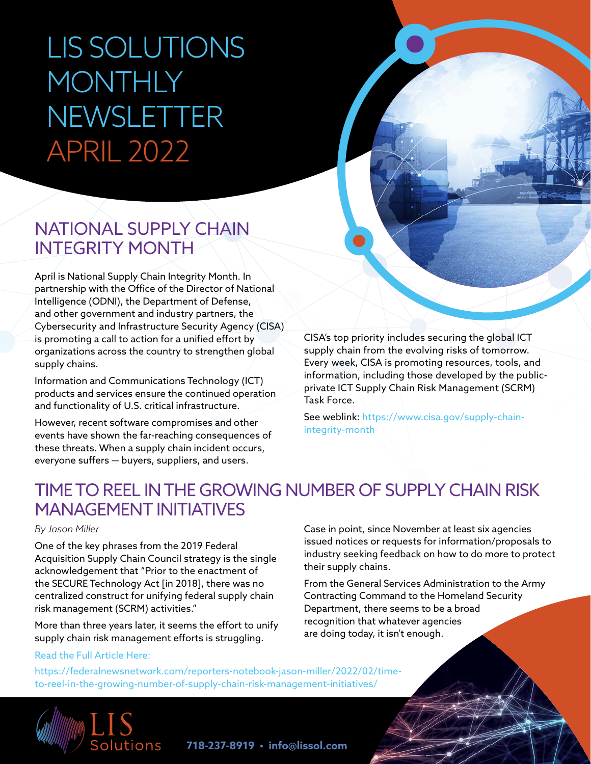# LIS SOLUTIONS MONTHLY NEWSLETTER APRIL 2022

### NATIONAL SUPPLY CHAIN INTEGRITY MONTH

April is National Supply Chain Integrity Month. In partnership with the Office of the Director of National Intelligence (ODNI), the Department of Defense, and other government and industry partners, the Cybersecurity and Infrastructure Security Agency (CISA) is promoting a call to action for a unified effort by organizations across the country to strengthen global supply chains.

Information and Communications Technology (ICT) products and services ensure the continued operation and functionality of U.S. critical infrastructure.

However, recent software compromises and other events have shown the far-reaching consequences of these threats. When a supply chain incident occurs, everyone suffers — buyers, suppliers, and users.

CISA's top priority includes securing the global ICT supply chain from the evolving risks of tomorrow. Every week, CISA is promoting resources, tools, and information, including those developed by the publicprivate ICT Supply Chain Risk Management (SCRM) Task Force.

See weblink: [https://www.cisa.gov/supply-chain](https://www.cisa.gov/supply-chain-integrity-month)[integrity-month](https://www.cisa.gov/supply-chain-integrity-month) 

### TIME TO REEL IN THE GROWING NUMBER OF SUPPLY CHAIN RISK MANAGEMENT INITIATIVES

#### *By Jason Miller*

One of the key phrases from the 2019 Federal Acquisition Supply Chain Council strategy is the single acknowledgement that "Prior to the enactment of the SECURE Technology Act [in 2018], there was no centralized construct for unifying federal supply chain risk management (SCRM) activities."

More than three years later, it seems the effort to unify supply chain risk management efforts is struggling.

[Read the Full Article Here](https://federalnewsnetwork.com/reporters-notebook-jason-miller/2022/02/time-to-reel-in-the-growing-number-of-supply-chain-risk-management-initiatives/):

Case in point, since November at least six agencies issued notices or requests for information/proposals to industry seeking feedback on how to do more to protect their supply chains.

From the General Services Administration to the Army Contracting Command to the Homeland Security Department, there seems to be a broad recognition that whatever agencies are doing today, it isn't enough.

[https://federalnewsnetwork.com/reporters-notebook-jason-miller/2022/02/time](https://federalnewsnetwork.com/reporters-notebook-jason-miller/2022/02/time-to-reel-in-the-growing-number-of-supply-chain-risk-management-initiatives/)[to-reel-in-the-growing-number-of-supply-chain-risk-management-initiatives/](https://federalnewsnetwork.com/reporters-notebook-jason-miller/2022/02/time-to-reel-in-the-growing-number-of-supply-chain-risk-management-initiatives/)



**718-237-8919 • info@lissol.com**